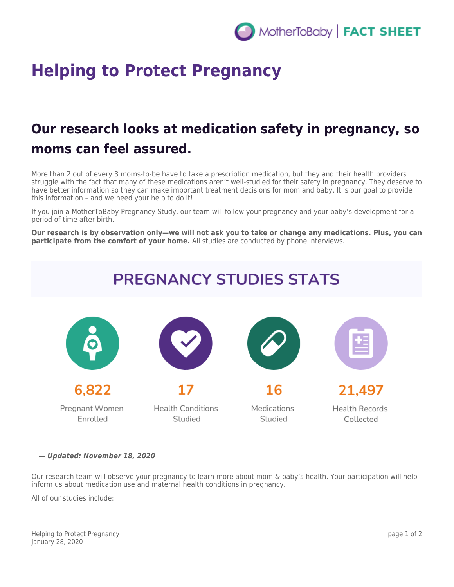## **Helping to Protect Pregnancy**

## **Our research looks at medication safety in pregnancy, so moms can feel assured.**

More than 2 out of every 3 moms-to-be have to take a prescription medication, but they and their health providers struggle with the fact that many of these medications aren't well-studied for their safety in pregnancy. They deserve to have better information so they can make important treatment decisions for mom and baby. It is our goal to provide this information – and we need your help to do it!

If you join a MotherToBaby Pregnancy Study, our team will follow your pregnancy and your baby's development for a period of time after birth.

**Our research is by observation only—we will not ask you to take or change any medications. Plus, you can participate from the comfort of your home.** All studies are conducted by phone interviews.



*— Updated: November 18, 2020*

Our research team will observe your pregnancy to learn more about mom & baby's health. Your participation will help inform us about medication use and maternal health conditions in pregnancy.

All of our studies include:

Helping to Protect Pregnancy January 28, 2020